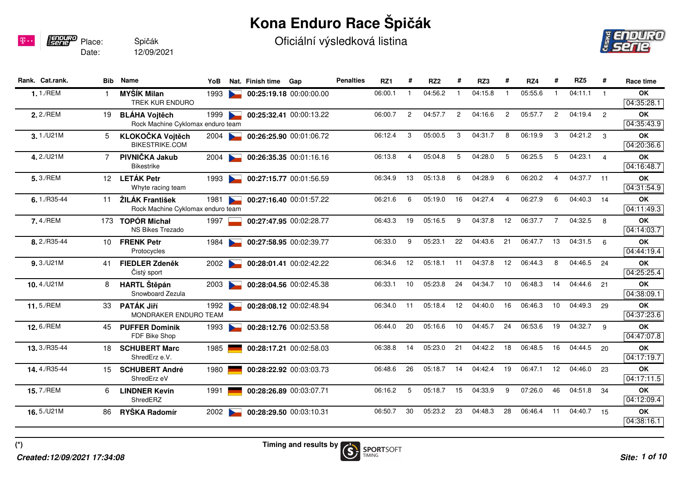## **Kona Enduro Race Špičák**

Oficiální výsledková listina



| Rank. Cat.rank. | Bib | Name                                                      | YoB  |                          | Nat. Finish time Gap |                         | <b>Penalties</b> | RZ <sub>1</sub> | #              | RZ <sub>2</sub> |                | RZ3     |                | RZ4     | #              | RZ5         | #              | Race time               |
|-----------------|-----|-----------------------------------------------------------|------|--------------------------|----------------------|-------------------------|------------------|-----------------|----------------|-----------------|----------------|---------|----------------|---------|----------------|-------------|----------------|-------------------------|
| 1.1./REM        |     | <b>MYŠÍK Milan</b><br><b>TREK KUR ENDURO</b>              | 1993 |                          |                      | 00:25:19.18 00:00:00.00 |                  | 06:00.1         |                | 04:56.2         |                | 04:15.8 |                | 05:55.6 | -1             | 04:11.1     | $\overline{1}$ | OK<br>04:35:28.1        |
| 2.2./REM        | 19  | <b>BLÁHA Vojtěch</b><br>Rock Machine Cyklomax enduro team | 1999 | $\overline{\phantom{0}}$ |                      | 00:25:32.41 00:00:13.22 |                  | 06:00.7         | $\overline{c}$ | 04:57.7         | $\overline{2}$ | 04:16.6 | $\overline{2}$ | 05:57.7 | $\overline{2}$ | 04:19.4     | $\overline{2}$ | OK<br>04:35:43.9        |
| 3.1 / U21M      | 5   | KLOKOČKA Vojtěch<br><b>BIKESTRIKE.COM</b>                 | 2004 |                          |                      | 00:26:25.90 00:01:06.72 |                  | 06:12.4         | 3              | 05:00.5         | 3              | 04:31.7 | 8              | 06:19.9 | 3              | $04:21.2$ 3 |                | <b>OK</b><br>04:20:36.6 |
| 4.2./U21M       | 7   | PIVNIČKA Jakub<br><b>Bikestrike</b>                       | 2004 |                          |                      | 00:26:35.35 00:01:16.16 |                  | 06:13.8         | 4              | 05:04.8         | 5              | 04:28.0 | 5              | 06:25.5 | 5              | 04:23.1     | $\overline{4}$ | OK<br>04:16:48.7        |
| 5.3./REM        |     | 12 LETÁK Petr<br>Whyte racing team                        | 1993 |                          |                      | 00:27:15.77 00:01:56.59 |                  | 06:34.9         | 13             | 05:13.8         | 6              | 04:28.9 | 6              | 06:20.2 | 4              | 04:37.7 11  |                | <b>OK</b><br>04:31:54.9 |
| $6.1/RS5-44$    | 11  | ŽILÁK František<br>Rock Machine Cyklomax enduro team      | 1981 | <b>Barnett</b>           |                      | 00:27:16.40 00:01:57.22 |                  | 06:21.6         | 6              | 05:19.0         | 16             | 04:27.4 | $\overline{a}$ | 06:27.9 | 6              | 04:40.3 14  |                | <b>OK</b><br>04:11:49.3 |
| 7.4./REM        |     | 173 TOPÓR Michał<br>NS Bikes Trezado                      | 1997 |                          |                      | 00:27:47.95 00:02:28.77 |                  | 06:43.3         | 19             | 05:16.5         | 9              | 04:37.8 | 12             | 06:37.7 | $\overline{7}$ | 04:32.5     | 8              | OK<br>04:14:03.7        |
| 8.2./R35-44     | 10  | <b>FRENK Petr</b><br>Protocycles                          | 1984 |                          |                      | 00:27:58.95 00:02:39.77 |                  | 06:33.0         | 9              | 05:23.1         | 22             | 04:43.6 | 21             | 06:47.7 | 13             | 04:31.5     | $6^{\circ}$    | <b>OK</b><br>04:44:19.4 |
| 9.3/U21M        | 41  | <b>FIEDLER Zdeněk</b><br>Čistý sport                      | 2002 |                          |                      | 00:28:01.41 00:02:42.22 |                  | 06:34.6         | 12             | 05:18.1         | 11             | 04:37.8 | 12             | 06:44.3 | 8              | 04:46.5     | 24             | OK<br>04:25:25.4        |
| 10.4./U21M      | 8   | <b>HARTL Štěpán</b><br>Snowboard Zezula                   | 2003 |                          |                      | 00:28:04.56 00:02:45.38 |                  | 06:33.1         | 10             | 05:23.8         | 24             | 04:34.7 | 10             | 06:48.3 | 14             | 04:44.6     | 21             | OK<br>04:38:09.1        |
| 11.5./REM       | 33  | PATÁK Jiří<br>MONDRAKER ENDURO TEAM                       | 1992 |                          |                      | 00:28:08.12 00:02:48.94 |                  | 06:34.0         | 11             | 05:18.4         | 12             | 04:40.0 | 16             | 06:46.3 | 10             | 04:49.3     | 29             | OK<br>04:37:23.6        |
| 12.6./REM       | 45  | <b>PUFFER Dominik</b><br>FDF Bike Shop                    | 1993 |                          |                      | 00:28:12.76 00:02:53.58 |                  | 06:44.0         | 20             | 05:16.6         | 10             | 04:45.7 | 24             | 06:53.6 | 19             | 04:32.7     | 9              | OK<br>04:47:07.8        |
| 13.3./R35-44    | 18  | <b>SCHUBERT Marc</b><br>ShredErz e.V.                     | 1985 |                          |                      | 00:28:17.21 00:02:58.03 |                  | 06:38.8         | 14             | 05:23.0         | 21             | 04:42.2 | 18             | 06:48.5 | 16             | 04:44.5     | 20             | <b>OK</b><br>04:17:19.7 |
| 14.4./R35-44    | 15. | <b>SCHUBERT André</b><br>ShredErz eV                      | 1980 |                          |                      | 00:28:22.92 00:03:03.73 |                  | 06:48.6         | 26             | 05:18.7         | 14             | 04:42.4 | 19             | 06:47.1 | 12             | 04:46.0     | 23             | OK<br>04:17:11.5        |
| 15.7./REM       | 6   | <b>LINDNER Kevin</b><br>ShredERZ                          | 1991 |                          |                      | 00:28:26.89 00:03:07.71 |                  | 06:16.2         | 5              | 05:18.7         | 15             | 04:33.9 | 9              | 07:26.0 | 46             | 04:51.8     | 34             | OK<br>04:12:09.4        |
| 16.5./U21M      | 86  | RYŠKA Radomír                                             | 2002 |                          |                      | 00:28:29.50 00:03:10.31 |                  | 06:50.7         | 30             | 05:23.2         | 23             | 04:48.3 | 28             | 06:46.4 | 11             | 04:40.7 15  |                | OK<br>04:38:16.1        |
|                 |     |                                                           |      |                          |                      |                         |                  |                 |                |                 |                |         |                |         |                |             |                |                         |

Date:

**Fennuro** Place:

12/09/2021

Špičák

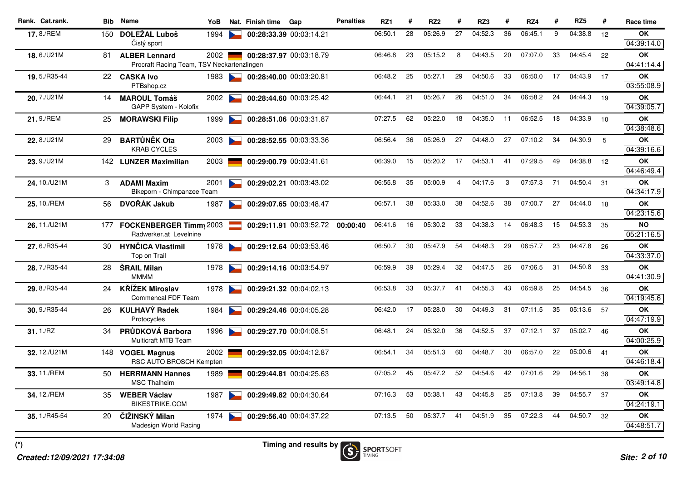| Rank. Cat.rank. |     | <b>Bib</b> Name                                                    | YoB  |                      | Nat. Finish time | Gap                     | <b>Penalties</b> | RZ1     | #  | RZ <sub>2</sub> | #              | RZ3     | #  | RZ4     | #  | RZ <sub>5</sub> | #  | Race time               |
|-----------------|-----|--------------------------------------------------------------------|------|----------------------|------------------|-------------------------|------------------|---------|----|-----------------|----------------|---------|----|---------|----|-----------------|----|-------------------------|
| 17.8./REM       | 150 | <b>DOLEŽAL Luboš</b>                                               | 1994 |                      |                  | 00:28:33.39 00:03:14.21 |                  | 06:50.1 | 28 | 05:26.9         | 27             | 04:52.3 | 36 | 06:45.1 | 9  | 04:38.8         | 12 | OK                      |
|                 |     | Čistý sport                                                        |      |                      |                  |                         |                  |         |    |                 |                |         |    |         |    |                 |    | 04:39:14.0              |
| 18.6./U21M      | 81  | <b>ALBER Lennard</b><br>Procraft Racing Team, TSV Neckartenzlingen | 2002 |                      |                  | 00:28:37.97 00:03:18.79 |                  | 06:46.8 | 23 | 05:15.2         | 8              | 04:43.5 | 20 | 07:07.0 | 33 | 04:45.4         | 22 | <b>OK</b><br>04:41:14.4 |
|                 |     |                                                                    |      |                      |                  |                         |                  | 06:48.2 | 25 | 05:27.1         | 29             | 04:50.6 | 33 | 06:50.0 | 17 | 04:43.9         |    | <b>OK</b>               |
| 19.5./R35-44    | 22  | <b>CASKA Ivo</b><br>PTBshop.cz                                     | 1983 |                      |                  | 00:28:40.00 00:03:20.81 |                  |         |    |                 |                |         |    |         |    |                 | 17 | 03:55:08.9              |
| 20.7./U21M      | 14  | <b>MAROUL Tomáš</b>                                                | 2002 |                      |                  | 00:28:44.60 00:03:25.42 |                  | 06:44.1 | 21 | 05:26.7         | 26             | 04:51.0 | 34 | 06:58.2 | 24 | 04:44.3         | 19 | <b>OK</b>               |
|                 |     | GAPP System - Kolofix                                              |      |                      |                  |                         |                  |         |    |                 |                |         |    |         |    |                 |    | 04:39:05.7              |
| 21.9./REM       | 25  | <b>MORAWSKI Filip</b>                                              | 1999 |                      |                  | 00:28:51.06 00:03:31.87 |                  | 07:27.5 | 62 | 05:22.0         | 18             | 04:35.0 | 11 | 06:52.5 | 18 | 04:33.9         | 10 | OK                      |
|                 |     |                                                                    |      |                      |                  |                         |                  |         |    |                 |                |         |    |         |    |                 |    | 04:38:48.6              |
| 22.8./U21M      | 29  | <b>BARTŮNĚK Ota</b>                                                | 2003 | $\sim$               |                  | 00:28:52.55 00:03:33.36 |                  | 06:56.4 | 36 | 05:26.9         | 27             | 04:48.0 | 27 | 07:10.2 | 34 | 04:30.9         | 5  | <b>OK</b>               |
|                 |     | <b>KRAB CYCLES</b>                                                 |      |                      |                  |                         |                  |         |    |                 |                |         |    |         |    |                 |    | 04:39:16.6              |
| 23.9./U21M      |     | 142 LUNZER Maximilian                                              | 2003 |                      |                  | 00:29:00.79 00:03:41.61 |                  | 06:39.0 | 15 | 05:20.2         | 17             | 04:53.1 | 41 | 07:29.5 | 49 | 04:38.8         | 12 | <b>OK</b>               |
|                 |     |                                                                    |      |                      |                  |                         |                  |         |    |                 |                |         |    |         |    |                 |    | 04:46:49.4              |
| 24.10./U21M     | 3   | <b>ADAMI Maxim</b>                                                 | 2001 | <b>Participation</b> |                  | 00:29:02.21 00:03:43.02 |                  | 06:55.8 | 35 | 05:00.9         | $\overline{4}$ | 04:17.6 | 3  | 07:57.3 | 71 | 04:50.4         | 31 | <b>OK</b>               |
|                 |     | Bikeporn - Chimpanzee Team                                         |      |                      |                  |                         |                  |         |    |                 |                |         |    |         |    |                 |    | 04:34:17.9              |
| 25.10./REM      | 56  | DVOŘÁK Jakub                                                       | 1987 |                      |                  | 00:29:07.65 00:03:48.47 |                  | 06:57.1 | 38 | 05:33.0         | 38             | 04:52.6 | 38 | 07:00.7 | 27 | 04:44.0 18      |    | <b>OK</b><br>04:23:15.6 |
| 26.11./U21M     |     | 177 FOCKENBERGER Timmy 2003                                        |      |                      |                  | 00:29:11.91 00:03:52.72 | 00:00:40         | 06:41.6 | 16 | 05:30.2         | 33             | 04:38.3 | 14 | 06:48.3 | 15 | 04:53.3         | 35 | <b>NO</b>               |
|                 |     | Radwerker.at Levelnine                                             |      |                      |                  |                         |                  |         |    |                 |                |         |    |         |    |                 |    | 05:21:16.5              |
| 27.6./R35-44    | 30  | <b>HYNČICA Vlastimil</b>                                           | 1978 |                      |                  | 00:29:12.64 00:03:53.46 |                  | 06:50.7 | 30 | 05:47.9         | 54             | 04:48.3 | 29 | 06:57.7 | 23 | 04:47.8         | 26 | <b>OK</b>               |
|                 |     | Top on Trail                                                       |      |                      |                  |                         |                  |         |    |                 |                |         |    |         |    |                 |    | 04:33:37.0              |
| 28.7./R35-44    | 28  | <b>SRAIL Milan</b>                                                 | 1978 |                      |                  | 00:29:14.16 00:03:54.97 |                  | 06:59.9 | 39 | 05:29.4         | 32             | 04:47.5 | 26 | 07:06.5 | 31 | 04:50.8         | 33 | OK                      |
|                 |     | <b>MMMM</b>                                                        |      |                      |                  |                         |                  |         |    |                 |                |         |    |         |    |                 |    | 04:41:30.9              |
| 29.8./R35-44    | 24  | <b>KŘÍŽEK Miroslav</b>                                             | 1978 |                      |                  | 00:29:21.32 00:04:02.13 |                  | 06:53.8 | 33 | 05:37.7         | 41             | 04:55.3 | 43 | 06:59.8 | 25 | 04:54.5         | 36 | OK                      |
|                 |     | <b>Commencal FDF Team</b>                                          |      |                      |                  |                         |                  |         |    |                 |                |         |    |         |    |                 |    | 04:19:45.6              |
| 30.9./R35-44    | 26  | <b>KULHAVÝ Radek</b>                                               | 1984 |                      |                  | 00:29:24.46 00:04:05.28 |                  | 06:42.0 | 17 | 05:28.0         | 30             | 04:49.3 | 31 | 07:11.5 | 35 | 05:13.6         | 57 | OK                      |
|                 |     | Protocycles                                                        |      |                      |                  |                         |                  |         |    |                 |                |         |    |         |    |                 |    | 04:47:19.9              |
| 31.1/ RZ        | 34  | PRŮDKOVÁ Barbora                                                   | 1996 |                      |                  | 00:29:27.70 00:04:08.51 |                  | 06:48.1 | 24 | 05:32.0         | 36             | 04:52.5 | 37 | 07:12.1 | 37 | 05:02.7         | 46 | OK                      |
|                 |     | <b>Multicraft MTB Team</b>                                         |      |                      |                  |                         |                  |         |    |                 |                |         |    |         |    |                 |    | 04:00:25.9              |
| 32, 12./U21M    | 148 | <b>VOGEL Magnus</b>                                                | 2002 |                      |                  | 00:29:32.05 00:04:12.87 |                  | 06:54.1 | 34 | 05:51.3         | 60             | 04:48.7 | 30 | 06:57.0 | 22 | 05:00.6         | 41 | OK                      |
|                 |     | RSC AUTO BROSCH Kempten                                            |      |                      |                  |                         |                  |         |    |                 |                |         |    |         |    |                 |    | 04:46:18.4              |
| 33.11./REM      | 50  | <b>HERRMANN Hannes</b>                                             | 1989 |                      |                  | 00:29:44.81 00:04:25.63 |                  | 07:05.2 | 45 | 05:47.2         | 52             | 04:54.6 | 42 | 07:01.6 | 29 | 04:56.1         | 38 | <b>OK</b>               |
|                 |     | <b>MSC Thalheim</b>                                                |      |                      |                  |                         |                  |         |    |                 |                |         |    |         |    |                 |    | 03:49:14.8              |
| 34.12./REM      | 35  | <b>WEBER Václav</b>                                                | 1987 |                      |                  | 00:29:49.82 00:04:30.64 |                  | 07:16.3 | 53 | 05:38.1         | 43             | 04:45.8 | 25 | 07:13.8 | 39 | 04:55.7         | 37 | <b>OK</b>               |
|                 |     | <b>BIKESTRIKE.COM</b>                                              |      |                      |                  |                         |                  |         |    |                 |                |         |    |         |    |                 |    | 04:24:19.1              |
| 35.1./R45-54    | 20  | ČIŽINSKÝ Milan                                                     | 1974 |                      |                  | 00:29:56.40 00:04:37.22 |                  | 07:13.5 | 50 | 05:37.7         | 41             | 04:51.9 | 35 | 07:22.3 | 44 | 04:50.7         | 32 | OK                      |
|                 |     | Madesign World Racing                                              |      |                      |                  |                         |                  |         |    |                 |                |         |    |         |    |                 |    | 04:48:51.7              |
|                 |     |                                                                    |      |                      |                  |                         |                  |         |    |                 |                |         |    |         |    |                 |    |                         |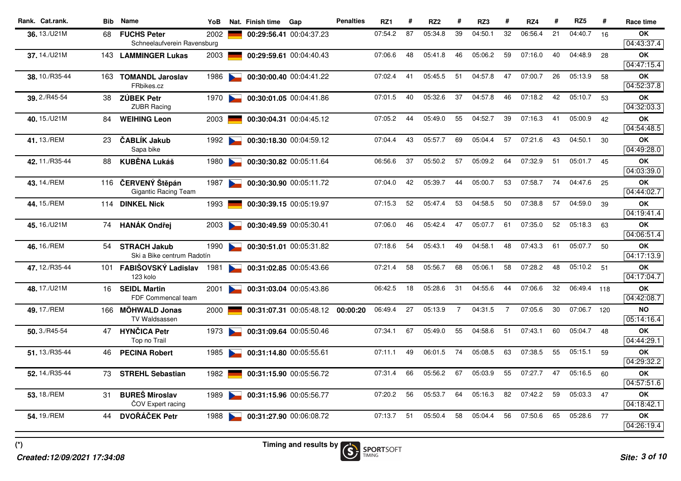| Rank. Cat.rank. | Bib | <b>Name</b>                                       | YoB  |                                   | Nat. Finish time | Gap                     | <b>Penalties</b> | RZ1     | #  | RZ <sub>2</sub> | #              | RZ3     | #              | RZ4     | #  | RZ <sub>5</sub> | #  | Race time               |
|-----------------|-----|---------------------------------------------------|------|-----------------------------------|------------------|-------------------------|------------------|---------|----|-----------------|----------------|---------|----------------|---------|----|-----------------|----|-------------------------|
| 36, 13./U21M    | 68  | <b>FUCHS Peter</b><br>Schneelaufverein Ravensburg | 2002 |                                   |                  | 00:29:56.41 00:04:37.23 |                  | 07:54.2 | 87 | 05:34.8         | 39             | 04:50.1 | 32             | 06:56.4 | 21 | 04:40.7         | 16 | OK<br>04:43:37.4        |
| 37.14./U21M     | 143 | <b>LAMMINGER Lukas</b>                            | 2003 |                                   |                  | 00:29:59.61 00:04:40.43 |                  | 07:06.6 | 48 | 05:41.8         | 46             | 05:06.2 | 59             | 07:16.0 | 40 | 04:48.9         | 28 | <b>OK</b><br>04:47:15.4 |
| 38.10./R35-44   | 163 | <b>TOMANDL Jaroslav</b><br>FRbikes.cz             | 1986 |                                   |                  | 00:30:00.40 00:04:41.22 |                  | 07:02.4 | 41 | 05:45.5         | 51             | 04:57.8 | 47             | 07:00.7 | 26 | 05:13.9         | 58 | <b>OK</b><br>04:52:37.8 |
| 39.2./R45-54    | 38  | <b>ZÚBEK Petr</b><br><b>ZUBR Racing</b>           | 1970 | <b>Contract Contract Contract</b> |                  | 00:30:01.05 00:04:41.86 |                  | 07:01.5 | 40 | 05:32.6         | 37             | 04:57.8 | 46             | 07:18.2 | 42 | 05:10.7         | 53 | OK<br>04:32:03.3        |
| 40.15./U21M     | 84  | <b>WEIHING Leon</b>                               | 2003 |                                   |                  | 00:30:04.31 00:04:45.12 |                  | 07:05.2 | 44 | 05:49.0         | 55             | 04:52.7 | 39             | 07:16.3 | 41 | 05:00.9         | 42 | <b>OK</b><br>04:54:48.5 |
| 41.13./REM      | 23  | ČABLÍK Jakub<br>Sapa bike                         | 1992 |                                   |                  | 00:30:18.30 00:04:59.12 |                  | 07:04.4 | 43 | 05:57.7         | 69             | 05:04.4 | 57             | 07:21.6 | 43 | 04:50.1         | 30 | OK<br>04:49:28.0        |
| 42.11./R35-44   | 88  | <b>KUBĚNA Lukáš</b>                               | 1980 |                                   |                  | 00:30:30.82 00:05:11.64 |                  | 06:56.6 | 37 | 05:50.2         | 57             | 05:09.2 | 64             | 07:32.9 | 51 | 05:01.7         | 45 | <b>OK</b><br>04:03:39.0 |
| 43.14./REM      | 116 | ČERVENÝ Štěpán<br><b>Gigantic Racing Team</b>     | 1987 | <b>Contract Contract</b>          |                  | 00:30:30.90 00:05:11.72 |                  | 07:04.0 | 42 | 05:39.7         | 44             | 05:00.7 | 53             | 07:58.7 | 74 | 04:47.6         | 25 | <b>OK</b><br>04:44:02.7 |
| 44.15./REM      |     | 114 DINKEL Nick                                   | 1993 |                                   |                  | 00:30:39.15 00:05:19.97 |                  | 07:15.3 | 52 | 05:47.4         | 53             | 04:58.5 | 50             | 07:38.8 | 57 | 04:59.0         | 39 | <b>OK</b><br>04:19:41.4 |
| 45.16./U21M     | 74  | <b>HANÁK Ondřej</b>                               | 2003 |                                   |                  | 00:30:49.59 00:05:30.41 |                  | 07:06.0 | 46 | 05:42.4         | 47             | 05:07.7 | 61             | 07:35.0 | 52 | 05:18.3         | 63 | <b>OK</b><br>04:06:51.4 |
| 46.16./REM      | 54  | <b>STRACH Jakub</b><br>Ski a Bike centrum Radotín | 1990 | $\sim$                            |                  | 00:30:51.01 00:05:31.82 |                  | 07:18.6 | 54 | 05:43.1         | 49             | 04:58.1 | 48             | 07:43.3 | 61 | 05:07.7         | 50 | OK<br>04:17:13.9        |
| 47.12./R35-44   | 101 | FABIŠOVSKÝ Ladislav<br>123 kolo                   | 1981 |                                   |                  | 00:31:02.85 00:05:43.66 |                  | 07:21.4 | 58 | 05:56.7         | 68             | 05:06.1 | 58             | 07:28.2 | 48 | 05:10.2         | 51 | <b>OK</b><br>04:17:04.7 |
| 48.17./U21M     | 16  | <b>SEIDL Martin</b><br>FDF Commencal team         | 2001 |                                   |                  | 00:31:03.04 00:05:43.86 |                  | 06:42.5 | 18 | 05:28.6         | 31             | 04:55.6 | 44             | 07:06.6 | 32 | 06:49.4 118     |    | <b>OK</b><br>04:42:08.7 |
| 49.17./REM      |     | 166 MÖHWALD Jonas<br>TV Waldsassen                | 2000 |                                   |                  | 00:31:07.31 00:05:48.12 | 00:00:20         | 06:49.4 | 27 | 05:13.9         | $\overline{7}$ | 04:31.5 | $\overline{7}$ | 07:05.6 | 30 | 07:06.7 120     |    | <b>NO</b><br>05:14:16.4 |
| 50.3./R45-54    | 47  | <b>HYNČICA Petr</b><br>Top no Trail               | 1973 |                                   |                  | 00:31:09.64 00:05:50.46 |                  | 07:34.1 | 67 | 05:49.0         | 55             | 04:58.6 | 51             | 07:43.1 | 60 | 05:04.7         | 48 | OK<br>04:44:29.1        |
| 51.13./R35-44   | 46  | <b>PECINA Robert</b>                              | 1985 |                                   |                  | 00:31:14.80 00:05:55.61 |                  | 07:11.1 | 49 | 06:01.5         | 74             | 05:08.5 | 63             | 07:38.5 | 55 | 05:15.1         | 59 | OK<br>04:29:32.2        |
| 52.14./R35-44   | 73  | <b>STREHL Sebastian</b>                           | 1982 |                                   |                  | 00:31:15.90 00:05:56.72 |                  | 07:31.4 | 66 | 05:56.2         | 67             | 05:03.9 | 55             | 07:27.7 | 47 | 05:16.5         | 60 | OK<br>04:57:51.6        |
| 53.18./REM      | 31  | <b>BUREŠ Miroslav</b><br>ČOV Expert racing        | 1989 | $\sim$                            |                  | 00:31:15.96 00:05:56.77 |                  | 07:20.2 | 56 | 05:53.7         | 64             | 05:16.3 | 82             | 07:42.2 | 59 | 05:03.3         | 47 | <b>OK</b><br>04:18:42.1 |
| 54, 19./REM     | 44  | <b>DVOŘÁČEK Petr</b>                              | 1988 |                                   |                  | 00:31:27.90 00:06:08.72 |                  | 07:13.7 | 51 | 05:50.4         | 58             | 05:04.4 | 56             | 07:50.6 | 65 | 05:28.6         | 77 | OK<br>04:26:19.4        |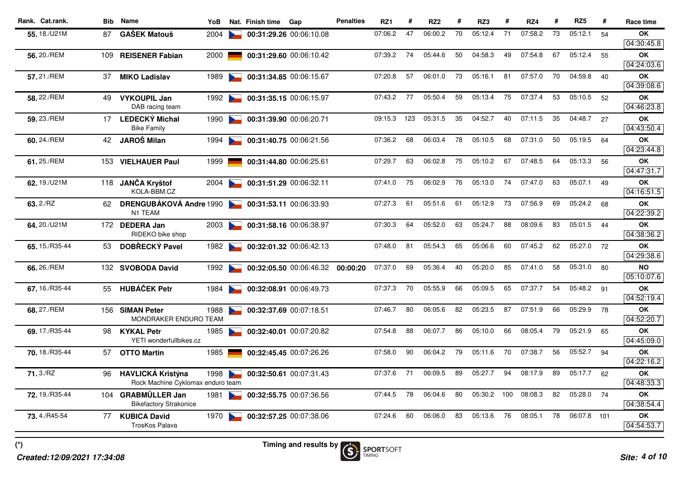| 70<br>06:00.2<br>05:12.4<br>71<br>07:58.2<br>73<br>05:12.1<br>55.18./U21M<br>07:06.2<br>47<br><b>GAŠEK Matouš</b><br>00:31:29.26 00:06:10.08<br>54<br><b>OK</b><br>87<br>2004<br>56, 20./REM<br>07:39.2<br>74<br>05:44.6<br>50<br>04:58.3<br>49<br>07:54.8<br>67<br>05:12.4<br><b>OK</b><br><b>REISENER Fabian</b><br>2000<br>00:31:29.60 00:06:10.42<br>55<br>109<br>04:24:03.6<br>57.21./REM<br>57<br>06:01.0<br>73<br>05:16.1<br>81<br>07:57.0<br>70<br>04:59.8<br>1989<br>00:31:34.85 00:06:15.67<br>07:20.8<br>OK<br>37<br><b>MIKO Ladislav</b><br>40<br>77<br>05:50.4<br>59<br>05:13.4<br>75<br>07:37.4<br>53<br>05:10.5<br><b>OK</b><br>58, 22./REM<br><b>VYKOUPIL Jan</b><br>07:43.2<br>52<br>1992<br>00:31:35.15 00:06:15.97<br>49<br>DAB racing team<br>35<br>09:15.3<br>123<br>05:31.5<br>04:52.7<br>40<br>07:11.5<br>35<br>04:48.7<br>59.23./REM<br><b>LEDECKÝ Michal</b><br>00:31:39.90 00:06:20.71<br>27<br>OK<br>17<br>1990<br><b>Bike Family</b><br>78<br>50<br>05:19.5<br>68<br>06:03.4<br>05:10.5<br>68<br>07:31.0<br>60.24./REM<br><b>JAROŠ Milan</b><br>00:31:40.75 00:06:21.56<br>07:36.2<br>64<br>OK<br>42<br>1994<br>04:23:44.8<br>06:02.8<br>75<br>05:13.3<br>61.25./REM<br>07:29.7<br>63<br>05:10.2<br>67<br>07:48.5<br>64<br><b>OK</b><br><b>VIELHAUER Paul</b><br>56<br>153<br>1999<br>00:31:44.80 00:06:25.61<br>04:47:31.7<br>62.19./U21M<br>JANČA Kryštof<br>07:41.0<br>75<br>06:02.9<br>76<br>05:13.0<br>74<br>07:47.0<br>63<br>05:07.1<br><b>OK</b><br>2004<br>00:31:51.29 00:06:32.11<br>49<br>118<br>04:16:51.5<br>KOLA-BBM.CZ<br>63.2./RZ<br>07:27.3<br>61<br>05:12.9<br>73<br>07:56.9<br>05:24.2<br><b>OK</b><br><b>DRENGUBÁKOVÁ Andre 1990</b><br>00:31:53.11 00:06:33.93<br>61<br>05:51.6<br>69<br>68<br>62<br>N1 TEAM<br>64.20./U21M<br>64<br>05:52.0<br>63<br>05:24.7<br>88<br>08:09.6<br>83<br>05:01.5<br>07:30.3<br><b>OK</b><br>172 DEDERA Jan<br>00:31:58.16 00:06:38.97<br>44<br>2003<br>RIDEKO bike shop<br>81<br>05:54.3<br>65<br>05:06.6<br>60<br>07:45.2<br>05:27.0<br>65.15./R35-44<br>DOBŘECKÝ Pavel<br>07:48.0<br>62<br>72<br><b>OK</b><br>1982<br>00:32:01.32 00:06:42.13<br>53<br>05:36.4<br>05:20.0<br>07:41.0<br>66.26./REM<br>07:37.0<br>69<br>40<br>85<br>58<br>05:31.0<br><b>NO</b><br>132 SVOBODA David<br>1992<br>00:32:05.50 00:06:46.32<br>80<br>00:00:20<br><b>HUBÁČEK Petr</b><br>67.16./R35-44<br>07:37.3<br>70<br>05:55.9<br>66<br>05:09.5<br>65<br>07:37.7<br>54<br>05:48.2 91<br>OK<br>00:32:08.91 00:06:49.73<br>55<br>1984<br><b>Contract Contract Contract</b><br>80<br>06:05.6<br>82<br>05:23.5<br>07:51.9<br>05:29.9<br>68.27./REM<br>07:46.7<br>87<br>66<br>78<br><b>OK</b><br>156 SIMAN Peter<br>1988<br>00:32:37.69 00:07:18.51<br>MONDRAKER ENDURO TEAM<br>06:07.7<br>05:21.9<br>07:54.8<br>88<br>86<br>05:10.0<br>66<br>08:05.4<br>79<br><b>OK</b><br>69.17./R35-44<br><b>KYKAL Petr</b><br>1985<br>00:32:40.01 00:07:20.82<br>65<br>98<br>YETI wonderfullbikes.cz<br>05:52.7<br>06:04.2<br>79<br>07:38.7<br>56<br>OK<br>70.18./R35-44<br>1985<br>07:58.0<br>90<br>05:11.6<br>70<br>94<br>57<br><b>OTTO Martin</b><br>00:32:45.45 00:07:26.26<br>71<br>06:09.5<br>89<br>05:27.7<br>94<br>08:17.9<br>89<br>05:17.7<br>71.3./RZ<br>1998<br>07:37.6<br><b>OK</b><br><b>HAVLICKÁ Kristýna</b><br>00:32:50.61 00:07:31.43<br>62<br>96<br><b>Contract Contract Contract</b><br>Rock Machine Cyklomax enduro team<br>72.19./R35-44<br>07:44.5<br>78<br>06:04.6<br>80<br>05:30.2<br>100<br>08:08.3<br>82<br>05:28.0 74<br><b>GRABMÜLLER Jan</b><br><b>OK</b><br>1981<br>00:32:55.75 00:07:36.56<br>104<br>$\sim$<br><b>Bikefactory Strakonice</b><br>06:06.0<br>83<br>05:13.6<br>76<br>08:05.1<br>78<br>06:07.8 101<br>OK<br>73.4./R45-54<br>07:24.6<br>60<br><b>KUBICA David</b><br>1970<br>00:32:57.25 00:07:38.06<br>77<br><b>Contract Contract Contract</b><br><b>TrosKos Palava</b> | Rank. Cat.rank. | <b>Bib</b> Name | YoB | Nat. Finish time | Gap | <b>Penalties</b> | RZ1 | # | RZ <sub>2</sub> | # | RZ3 | Н | RZ4 | # | RZ <sub>5</sub> | # | Race time  |
|-----------------------------------------------------------------------------------------------------------------------------------------------------------------------------------------------------------------------------------------------------------------------------------------------------------------------------------------------------------------------------------------------------------------------------------------------------------------------------------------------------------------------------------------------------------------------------------------------------------------------------------------------------------------------------------------------------------------------------------------------------------------------------------------------------------------------------------------------------------------------------------------------------------------------------------------------------------------------------------------------------------------------------------------------------------------------------------------------------------------------------------------------------------------------------------------------------------------------------------------------------------------------------------------------------------------------------------------------------------------------------------------------------------------------------------------------------------------------------------------------------------------------------------------------------------------------------------------------------------------------------------------------------------------------------------------------------------------------------------------------------------------------------------------------------------------------------------------------------------------------------------------------------------------------------------------------------------------------------------------------------------------------------------------------------------------------------------------------------------------------------------------------------------------------------------------------------------------------------------------------------------------------------------------------------------------------------------------------------------------------------------------------------------------------------------------------------------------------------------------------------------------------------------------------------------------------------------------------------------------------------------------------------------------------------------------------------------------------------------------------------------------------------------------------------------------------------------------------------------------------------------------------------------------------------------------------------------------------------------------------------------------------------------------------------------------------------------------------------------------------------------------------------------------------------------------------------------------------------------------------------------------------------------------------------------------------------------------------------------------------------------------------------------------------------------------------------------------------------------------------------------------------------------------------------------------------------------------------------------------------------------------------------------------------------------------------------------------------------------------------------------------------------------------------------------------------------------------------------------------|-----------------|-----------------|-----|------------------|-----|------------------|-----|---|-----------------|---|-----|---|-----|---|-----------------|---|------------|
|                                                                                                                                                                                                                                                                                                                                                                                                                                                                                                                                                                                                                                                                                                                                                                                                                                                                                                                                                                                                                                                                                                                                                                                                                                                                                                                                                                                                                                                                                                                                                                                                                                                                                                                                                                                                                                                                                                                                                                                                                                                                                                                                                                                                                                                                                                                                                                                                                                                                                                                                                                                                                                                                                                                                                                                                                                                                                                                                                                                                                                                                                                                                                                                                                                                                                                                                                                                                                                                                                                                                                                                                                                                                                                                                                                                                                                                                 |                 |                 |     |                  |     |                  |     |   |                 |   |     |   |     |   |                 |   |            |
|                                                                                                                                                                                                                                                                                                                                                                                                                                                                                                                                                                                                                                                                                                                                                                                                                                                                                                                                                                                                                                                                                                                                                                                                                                                                                                                                                                                                                                                                                                                                                                                                                                                                                                                                                                                                                                                                                                                                                                                                                                                                                                                                                                                                                                                                                                                                                                                                                                                                                                                                                                                                                                                                                                                                                                                                                                                                                                                                                                                                                                                                                                                                                                                                                                                                                                                                                                                                                                                                                                                                                                                                                                                                                                                                                                                                                                                                 |                 |                 |     |                  |     |                  |     |   |                 |   |     |   |     |   |                 |   | 04:30:45.8 |
|                                                                                                                                                                                                                                                                                                                                                                                                                                                                                                                                                                                                                                                                                                                                                                                                                                                                                                                                                                                                                                                                                                                                                                                                                                                                                                                                                                                                                                                                                                                                                                                                                                                                                                                                                                                                                                                                                                                                                                                                                                                                                                                                                                                                                                                                                                                                                                                                                                                                                                                                                                                                                                                                                                                                                                                                                                                                                                                                                                                                                                                                                                                                                                                                                                                                                                                                                                                                                                                                                                                                                                                                                                                                                                                                                                                                                                                                 |                 |                 |     |                  |     |                  |     |   |                 |   |     |   |     |   |                 |   |            |
|                                                                                                                                                                                                                                                                                                                                                                                                                                                                                                                                                                                                                                                                                                                                                                                                                                                                                                                                                                                                                                                                                                                                                                                                                                                                                                                                                                                                                                                                                                                                                                                                                                                                                                                                                                                                                                                                                                                                                                                                                                                                                                                                                                                                                                                                                                                                                                                                                                                                                                                                                                                                                                                                                                                                                                                                                                                                                                                                                                                                                                                                                                                                                                                                                                                                                                                                                                                                                                                                                                                                                                                                                                                                                                                                                                                                                                                                 |                 |                 |     |                  |     |                  |     |   |                 |   |     |   |     |   |                 |   |            |
|                                                                                                                                                                                                                                                                                                                                                                                                                                                                                                                                                                                                                                                                                                                                                                                                                                                                                                                                                                                                                                                                                                                                                                                                                                                                                                                                                                                                                                                                                                                                                                                                                                                                                                                                                                                                                                                                                                                                                                                                                                                                                                                                                                                                                                                                                                                                                                                                                                                                                                                                                                                                                                                                                                                                                                                                                                                                                                                                                                                                                                                                                                                                                                                                                                                                                                                                                                                                                                                                                                                                                                                                                                                                                                                                                                                                                                                                 |                 |                 |     |                  |     |                  |     |   |                 |   |     |   |     |   |                 |   | 04:39:08.6 |
|                                                                                                                                                                                                                                                                                                                                                                                                                                                                                                                                                                                                                                                                                                                                                                                                                                                                                                                                                                                                                                                                                                                                                                                                                                                                                                                                                                                                                                                                                                                                                                                                                                                                                                                                                                                                                                                                                                                                                                                                                                                                                                                                                                                                                                                                                                                                                                                                                                                                                                                                                                                                                                                                                                                                                                                                                                                                                                                                                                                                                                                                                                                                                                                                                                                                                                                                                                                                                                                                                                                                                                                                                                                                                                                                                                                                                                                                 |                 |                 |     |                  |     |                  |     |   |                 |   |     |   |     |   |                 |   | 04:46:23.8 |
|                                                                                                                                                                                                                                                                                                                                                                                                                                                                                                                                                                                                                                                                                                                                                                                                                                                                                                                                                                                                                                                                                                                                                                                                                                                                                                                                                                                                                                                                                                                                                                                                                                                                                                                                                                                                                                                                                                                                                                                                                                                                                                                                                                                                                                                                                                                                                                                                                                                                                                                                                                                                                                                                                                                                                                                                                                                                                                                                                                                                                                                                                                                                                                                                                                                                                                                                                                                                                                                                                                                                                                                                                                                                                                                                                                                                                                                                 |                 |                 |     |                  |     |                  |     |   |                 |   |     |   |     |   |                 |   | 04:43:50.4 |
|                                                                                                                                                                                                                                                                                                                                                                                                                                                                                                                                                                                                                                                                                                                                                                                                                                                                                                                                                                                                                                                                                                                                                                                                                                                                                                                                                                                                                                                                                                                                                                                                                                                                                                                                                                                                                                                                                                                                                                                                                                                                                                                                                                                                                                                                                                                                                                                                                                                                                                                                                                                                                                                                                                                                                                                                                                                                                                                                                                                                                                                                                                                                                                                                                                                                                                                                                                                                                                                                                                                                                                                                                                                                                                                                                                                                                                                                 |                 |                 |     |                  |     |                  |     |   |                 |   |     |   |     |   |                 |   |            |
|                                                                                                                                                                                                                                                                                                                                                                                                                                                                                                                                                                                                                                                                                                                                                                                                                                                                                                                                                                                                                                                                                                                                                                                                                                                                                                                                                                                                                                                                                                                                                                                                                                                                                                                                                                                                                                                                                                                                                                                                                                                                                                                                                                                                                                                                                                                                                                                                                                                                                                                                                                                                                                                                                                                                                                                                                                                                                                                                                                                                                                                                                                                                                                                                                                                                                                                                                                                                                                                                                                                                                                                                                                                                                                                                                                                                                                                                 |                 |                 |     |                  |     |                  |     |   |                 |   |     |   |     |   |                 |   |            |
|                                                                                                                                                                                                                                                                                                                                                                                                                                                                                                                                                                                                                                                                                                                                                                                                                                                                                                                                                                                                                                                                                                                                                                                                                                                                                                                                                                                                                                                                                                                                                                                                                                                                                                                                                                                                                                                                                                                                                                                                                                                                                                                                                                                                                                                                                                                                                                                                                                                                                                                                                                                                                                                                                                                                                                                                                                                                                                                                                                                                                                                                                                                                                                                                                                                                                                                                                                                                                                                                                                                                                                                                                                                                                                                                                                                                                                                                 |                 |                 |     |                  |     |                  |     |   |                 |   |     |   |     |   |                 |   |            |
|                                                                                                                                                                                                                                                                                                                                                                                                                                                                                                                                                                                                                                                                                                                                                                                                                                                                                                                                                                                                                                                                                                                                                                                                                                                                                                                                                                                                                                                                                                                                                                                                                                                                                                                                                                                                                                                                                                                                                                                                                                                                                                                                                                                                                                                                                                                                                                                                                                                                                                                                                                                                                                                                                                                                                                                                                                                                                                                                                                                                                                                                                                                                                                                                                                                                                                                                                                                                                                                                                                                                                                                                                                                                                                                                                                                                                                                                 |                 |                 |     |                  |     |                  |     |   |                 |   |     |   |     |   |                 |   | 04:22:39.2 |
|                                                                                                                                                                                                                                                                                                                                                                                                                                                                                                                                                                                                                                                                                                                                                                                                                                                                                                                                                                                                                                                                                                                                                                                                                                                                                                                                                                                                                                                                                                                                                                                                                                                                                                                                                                                                                                                                                                                                                                                                                                                                                                                                                                                                                                                                                                                                                                                                                                                                                                                                                                                                                                                                                                                                                                                                                                                                                                                                                                                                                                                                                                                                                                                                                                                                                                                                                                                                                                                                                                                                                                                                                                                                                                                                                                                                                                                                 |                 |                 |     |                  |     |                  |     |   |                 |   |     |   |     |   |                 |   | 04:38:36.2 |
|                                                                                                                                                                                                                                                                                                                                                                                                                                                                                                                                                                                                                                                                                                                                                                                                                                                                                                                                                                                                                                                                                                                                                                                                                                                                                                                                                                                                                                                                                                                                                                                                                                                                                                                                                                                                                                                                                                                                                                                                                                                                                                                                                                                                                                                                                                                                                                                                                                                                                                                                                                                                                                                                                                                                                                                                                                                                                                                                                                                                                                                                                                                                                                                                                                                                                                                                                                                                                                                                                                                                                                                                                                                                                                                                                                                                                                                                 |                 |                 |     |                  |     |                  |     |   |                 |   |     |   |     |   |                 |   | 04:29:38.6 |
|                                                                                                                                                                                                                                                                                                                                                                                                                                                                                                                                                                                                                                                                                                                                                                                                                                                                                                                                                                                                                                                                                                                                                                                                                                                                                                                                                                                                                                                                                                                                                                                                                                                                                                                                                                                                                                                                                                                                                                                                                                                                                                                                                                                                                                                                                                                                                                                                                                                                                                                                                                                                                                                                                                                                                                                                                                                                                                                                                                                                                                                                                                                                                                                                                                                                                                                                                                                                                                                                                                                                                                                                                                                                                                                                                                                                                                                                 |                 |                 |     |                  |     |                  |     |   |                 |   |     |   |     |   |                 |   | 05:10:07.6 |
|                                                                                                                                                                                                                                                                                                                                                                                                                                                                                                                                                                                                                                                                                                                                                                                                                                                                                                                                                                                                                                                                                                                                                                                                                                                                                                                                                                                                                                                                                                                                                                                                                                                                                                                                                                                                                                                                                                                                                                                                                                                                                                                                                                                                                                                                                                                                                                                                                                                                                                                                                                                                                                                                                                                                                                                                                                                                                                                                                                                                                                                                                                                                                                                                                                                                                                                                                                                                                                                                                                                                                                                                                                                                                                                                                                                                                                                                 |                 |                 |     |                  |     |                  |     |   |                 |   |     |   |     |   |                 |   | 04:52:19.4 |
|                                                                                                                                                                                                                                                                                                                                                                                                                                                                                                                                                                                                                                                                                                                                                                                                                                                                                                                                                                                                                                                                                                                                                                                                                                                                                                                                                                                                                                                                                                                                                                                                                                                                                                                                                                                                                                                                                                                                                                                                                                                                                                                                                                                                                                                                                                                                                                                                                                                                                                                                                                                                                                                                                                                                                                                                                                                                                                                                                                                                                                                                                                                                                                                                                                                                                                                                                                                                                                                                                                                                                                                                                                                                                                                                                                                                                                                                 |                 |                 |     |                  |     |                  |     |   |                 |   |     |   |     |   |                 |   | 04:52:20.7 |
|                                                                                                                                                                                                                                                                                                                                                                                                                                                                                                                                                                                                                                                                                                                                                                                                                                                                                                                                                                                                                                                                                                                                                                                                                                                                                                                                                                                                                                                                                                                                                                                                                                                                                                                                                                                                                                                                                                                                                                                                                                                                                                                                                                                                                                                                                                                                                                                                                                                                                                                                                                                                                                                                                                                                                                                                                                                                                                                                                                                                                                                                                                                                                                                                                                                                                                                                                                                                                                                                                                                                                                                                                                                                                                                                                                                                                                                                 |                 |                 |     |                  |     |                  |     |   |                 |   |     |   |     |   |                 |   | 04:45:09.0 |
|                                                                                                                                                                                                                                                                                                                                                                                                                                                                                                                                                                                                                                                                                                                                                                                                                                                                                                                                                                                                                                                                                                                                                                                                                                                                                                                                                                                                                                                                                                                                                                                                                                                                                                                                                                                                                                                                                                                                                                                                                                                                                                                                                                                                                                                                                                                                                                                                                                                                                                                                                                                                                                                                                                                                                                                                                                                                                                                                                                                                                                                                                                                                                                                                                                                                                                                                                                                                                                                                                                                                                                                                                                                                                                                                                                                                                                                                 |                 |                 |     |                  |     |                  |     |   |                 |   |     |   |     |   |                 |   | 04:22:16.2 |
|                                                                                                                                                                                                                                                                                                                                                                                                                                                                                                                                                                                                                                                                                                                                                                                                                                                                                                                                                                                                                                                                                                                                                                                                                                                                                                                                                                                                                                                                                                                                                                                                                                                                                                                                                                                                                                                                                                                                                                                                                                                                                                                                                                                                                                                                                                                                                                                                                                                                                                                                                                                                                                                                                                                                                                                                                                                                                                                                                                                                                                                                                                                                                                                                                                                                                                                                                                                                                                                                                                                                                                                                                                                                                                                                                                                                                                                                 |                 |                 |     |                  |     |                  |     |   |                 |   |     |   |     |   |                 |   | 04:48:33.3 |
|                                                                                                                                                                                                                                                                                                                                                                                                                                                                                                                                                                                                                                                                                                                                                                                                                                                                                                                                                                                                                                                                                                                                                                                                                                                                                                                                                                                                                                                                                                                                                                                                                                                                                                                                                                                                                                                                                                                                                                                                                                                                                                                                                                                                                                                                                                                                                                                                                                                                                                                                                                                                                                                                                                                                                                                                                                                                                                                                                                                                                                                                                                                                                                                                                                                                                                                                                                                                                                                                                                                                                                                                                                                                                                                                                                                                                                                                 |                 |                 |     |                  |     |                  |     |   |                 |   |     |   |     |   |                 |   | 04:38:54.4 |
|                                                                                                                                                                                                                                                                                                                                                                                                                                                                                                                                                                                                                                                                                                                                                                                                                                                                                                                                                                                                                                                                                                                                                                                                                                                                                                                                                                                                                                                                                                                                                                                                                                                                                                                                                                                                                                                                                                                                                                                                                                                                                                                                                                                                                                                                                                                                                                                                                                                                                                                                                                                                                                                                                                                                                                                                                                                                                                                                                                                                                                                                                                                                                                                                                                                                                                                                                                                                                                                                                                                                                                                                                                                                                                                                                                                                                                                                 |                 |                 |     |                  |     |                  |     |   |                 |   |     |   |     |   |                 |   | 04:54:53.7 |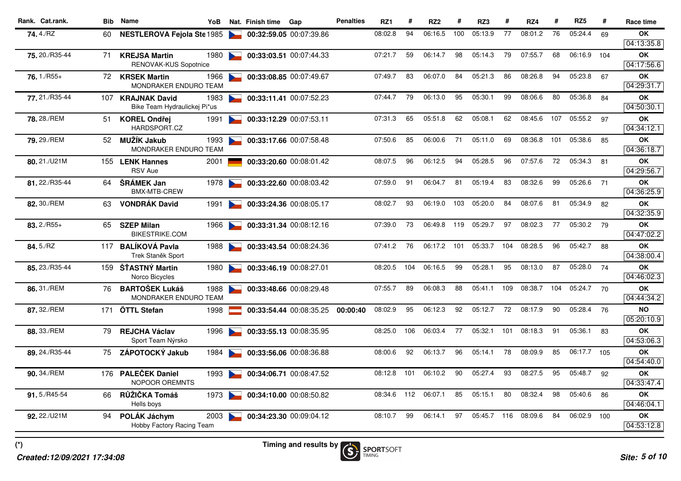|                |     |                                                      |      |                                   | Nat. Finish time | Gap                     | <b>Penalties</b> | RZ1     | #   | RZ <sub>2</sub> | #   | RZ3     |     | RZ4     | #   | RZ <sub>5</sub> | #   | Race time               |
|----------------|-----|------------------------------------------------------|------|-----------------------------------|------------------|-------------------------|------------------|---------|-----|-----------------|-----|---------|-----|---------|-----|-----------------|-----|-------------------------|
| 74.4./RZ       | 60  | <b>NESTLEROVA Fejola Ste 1985</b>                    |      |                                   |                  | 00:32:59.05 00:07:39.86 |                  | 08:02.8 | 94  | 06:16.5         | 100 | 05:13.9 | 77  | 08:01.2 | 76  | 05:24.4         | 69  | OK<br>04:13:35.8        |
| 75, 20./R35-44 | 71  | <b>KREJSA Martin</b><br><b>RENOVAK-KUS Sopotnice</b> | 1980 | <b>Participation</b>              |                  | 00:33:03.51 00:07:44.33 |                  | 07:21.7 | 59  | 06:14.7         | 98  | 05:14.3 | 79  | 07:55.7 | 68  | 06:16.9 104     |     | OK<br>04:17:56.6        |
| 76.1./R55+     | 72. | <b>KRSEK Martin</b><br><b>MONDRAKER ENDURO TEAM</b>  | 1966 |                                   |                  | 00:33:08.85 00:07:49.67 |                  | 07:49.7 | 83  | 06:07.0         | 84  | 05:21.3 | 86  | 08:26.8 | 94  | 05:23.8         | 67  | <b>OK</b><br>04:29:31.7 |
| 77.21./R35-44  |     | 107 KRAJNAK David<br>Bike Team Hydraulickej Pi*us    | 1983 | $\sim$                            |                  | 00:33:11.41 00:07:52.23 |                  | 07:44.7 | 79  | 06:13.0         | 95  | 05:30.1 | 99  | 08:06.6 | 80  | 05:36.8         | 84  | OK<br>04:50:30.1        |
| 78.28./REM     | 51  | <b>KOREL Ondřej</b><br>HARDSPORT.CZ                  | 1991 |                                   |                  | 00:33:12.29 00:07:53.11 |                  | 07:31.3 | 65  | 05:51.8         | 62  | 05:08.1 | 62  | 08:45.6 | 107 | 05:55.2         | 97  | <b>OK</b><br>04:34:12.1 |
| 79.29./REM     | 52  | MUŽÍK Jakub<br>MONDRAKER ENDURO TEAM                 | 1993 | <b>By Line</b>                    |                  | 00:33:17.66 00:07:58.48 |                  | 07:50.6 | 85  | 06:00.6         | 71  | 05:11.0 | 69  | 08:36.8 | 101 | 05:38.6         | 85  | OK<br>04:36:18.7        |
| 80.21./U21M    |     | 155 LENK Hannes<br><b>RSV Aue</b>                    | 2001 |                                   |                  | 00:33:20.60 00:08:01.42 |                  | 08:07.5 | 96  | 06:12.5         | 94  | 05:28.5 | 96  | 07:57.6 | 72  | 05:34.3         | 81  | OK<br>04:29:56.7        |
| 81.22./R35-44  | 64  | <b>SRÁMEK Jan</b><br>BMX-MTB-CREW                    | 1978 | <b>Contract Contract Contract</b> |                  | 00:33:22.60 00:08:03.42 |                  | 07:59.0 | 91  | 06:04.7         | 81  | 05:19.4 | 83  | 08:32.6 | 99  | 05:26.6         | 71  | <b>OK</b><br>04:36:25.9 |
| 82, 30./REM    | 63  | <b>VONDRÁK David</b>                                 | 1991 |                                   |                  | 00:33:24.36 00:08:05.17 |                  | 08:02.7 | 93  | 06:19.0         | 103 | 05:20.0 | 84  | 08:07.6 | 81  | 05:34.9         | 82  | OK<br>04:32:35.9        |
| $83.2/RS5+$    | 65  | <b>SZEP Milan</b><br><b>BIKESTRIKE.COM</b>           | 1966 |                                   |                  | 00:33:31.34 00:08:12.16 |                  | 07:39.0 | 73  | 06:49.8         | 119 | 05:29.7 | 97  | 08:02.3 | 77  | 05:30.2         | 79  | <b>OK</b><br>04:47:02.2 |
| 84.5./RZ       |     | 117 BALÍKOVÁ Pavla<br>Trek Staněk Sport              | 1988 |                                   |                  | 00:33:43.54 00:08:24.36 |                  | 07:41.2 | 76  | 06:17.2         | 101 | 05:33.7 | 104 | 08:28.5 | 96  | 05:42.7         | 88  | <b>OK</b><br>04:38:00.4 |
| 85.23./R35-44  | 159 | ŠŤASTNÝ Martin<br>Norco Bicycles                     | 1980 |                                   |                  | 00:33:46.19 00:08:27.01 |                  | 08:20.5 | 104 | 06:16.5         | 99  | 05:28.1 | 95  | 08:13.0 | 87  | 05:28.0         | 74  | OK<br>04:46:02.3        |
| 86.31./REM     | 76  | <b>BARTOŠEK Lukáš</b><br>MONDRAKER ENDURO TEAM       | 1988 |                                   |                  | 00:33:48.66 00:08:29.48 |                  | 07:55.7 | 89  | 06:08.3         | 88  | 05:41.1 | 109 | 08:38.7 | 104 | 05:24.7         | 70  | <b>OK</b><br>04:44:34.2 |
| 87.32./REM     | 171 | ÖTTL Stefan                                          | 1998 |                                   |                  | 00:33:54.44 00:08:35.25 | 00:00:40         | 08:02.9 | 95  | 06:12.3         | 92  | 05:12.7 | 72  | 08:17.9 | 90  | 05:28.4         | 76  | <b>NO</b><br>05:20:10.9 |
| 88.33./REM     | 79  | <b>REJCHA Václav</b><br>Sport Team Nýrsko            | 1996 |                                   |                  | 00:33:55.13 00:08:35.95 |                  | 08:25.0 | 106 | 06:03.4         | 77  | 05:32.1 | 101 | 08:18.3 | 91  | 05:36.1         | 83  | OK<br>04:53:06.3        |
| 89.24./R35-44  | 75  | ZÁPOTOCKÝ Jakub                                      | 1984 |                                   |                  | 00:33:56.06 00:08:36.88 |                  | 08:00.6 | 92  | 06:13.7         | 96  | 05:14.1 | 78  | 08:09.9 | 85  | 06:17.7         | 105 | <b>OK</b><br>04:54:40.0 |
| 90.34./REM     |     | 176 PALEČEK Daniel<br>NOPOOR OREMNTS                 | 1993 | <b>Contract Contract Contract</b> |                  | 00:34:06.71 00:08:47.52 |                  | 08:12.8 | 101 | 06:10.2         | 90  | 05:27.4 | 93  | 08:27.5 | 95  | 05:48.7         | 92  | OK<br>04:33:47.4        |
| 91.5./R45-54   | 66  | RŮŽIČKA Tomáš<br>Hells boys                          | 1973 |                                   |                  | 00:34:10.00 00:08:50.82 |                  | 08:34.6 | 112 | 06:07.1         | 85  | 05:15.1 | 80  | 08:32.4 | 98  | 05:40.6         | 86  | <b>OK</b><br>04:46:04.1 |
| 92.22./U21M    | 94  | POLÁK Jáchym<br>Hobby Factory Racing Team            | 2003 |                                   |                  | 00:34:23.30 00:09:04.12 |                  | 08:10.7 | 99  | 06:14.1         | 97  | 05:45.7 | 116 | 08:09.6 | 84  | 06:02.9         | 100 | OK<br>04:53:12.8        |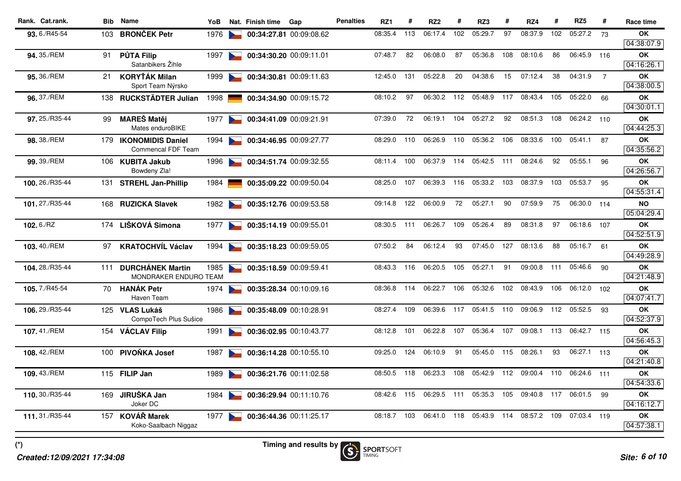| Rank. Cat.rank.     |     | <b>Bib</b> Name                           | YoB  |                                   | Nat. Finish time | Gap                     | <b>Penalties</b> | RZ1     | #   | RZ <sub>2</sub> | #   | RZ3     | #   | RZ4     | #   | RZ <sub>5</sub> | #              | Race time               |
|---------------------|-----|-------------------------------------------|------|-----------------------------------|------------------|-------------------------|------------------|---------|-----|-----------------|-----|---------|-----|---------|-----|-----------------|----------------|-------------------------|
| 93.6./R45-54        | 103 | <b>BRONČEK Petr</b>                       | 1976 |                                   |                  | 00:34:27.81 00:09:08.62 |                  | 08:35.4 | 113 | 06:17.4         | 102 | 05:29.7 | 97  | 08:37.9 | 102 | 05:27.2         | 73             | OK                      |
|                     |     |                                           |      |                                   |                  |                         |                  |         |     |                 |     |         |     |         |     |                 |                | 04:38:07.9              |
| 94.35./REM          | 91  | <b>PŮTA Filip</b>                         | 1997 | $\sim$                            |                  | 00:34:30.20 00:09:11.01 |                  | 07:48.7 | 82  | 06:08.0         | 87  | 05:36.8 | 108 | 08:10.6 | 86  | 06:45.9 116     |                | OK                      |
|                     |     | Satanbikers Žihle                         |      |                                   |                  |                         |                  |         |     |                 |     |         |     |         |     |                 |                | 04:16:26.1              |
| 95.36./REM          | 21  | <b>KORYŤÁK Milan</b><br>Sport Team Nýrsko | 1999 |                                   |                  | 00:34:30.81 00:09:11.63 |                  | 12:45.0 | 131 | 05:22.8         | 20  | 04:38.6 | 15  | 07:12.4 | 38  | 04:31.9         | $\overline{7}$ | <b>OK</b><br>04:38:00.5 |
| 96.37./REM          | 138 | <b>RUCKSTÄDTER Julian</b>                 | 1998 |                                   |                  | 00:34:34.90 00:09:15.72 |                  | 08:10.2 | 97  | 06:30.2         | 112 | 05:48.9 | 117 | 08:43.4 | 105 | 05:22.0         | 66             | OK                      |
|                     |     |                                           |      |                                   |                  |                         |                  |         |     |                 |     |         |     |         |     |                 |                | 04:30:01.1              |
| 97.25./R35-44       | 99  | <b>MAREŠ Matěj</b>                        | 1977 |                                   |                  | 00:34:41.09 00:09:21.91 |                  | 07:39.0 | 72  | 06:19.1         | 104 | 05:27.2 | 92  | 08:51.3 | 108 | 06:24.2 110     |                | OK                      |
|                     |     | Mates enduroBIKE                          |      |                                   |                  |                         |                  |         |     |                 |     |         |     |         |     |                 |                | 04:44:25.3              |
| 98, 38./REM         | 179 | <b>IKONOMIDIS Daniel</b>                  | 1994 | $\sim$                            |                  | 00:34:46.95 00:09:27.77 |                  | 08:29.0 | 110 | 06:26.9         | 110 | 05:36.2 | 106 | 08:33.6 | 100 | 05:41.1         | 87             | OK                      |
|                     |     | <b>Commencal FDF Team</b>                 |      |                                   |                  |                         |                  |         |     |                 |     |         |     |         |     |                 |                | 04:35:56.2              |
| 99.39./REM          |     | 106 KUBITA Jakub                          | 1996 |                                   |                  | 00:34:51.74 00:09:32.55 |                  | 08:11.4 | 100 | 06:37.9         | 114 | 05:42.5 | 111 | 08:24.6 | 92  | 05:55.1         | 96             | OK                      |
|                     |     | Bowdeny Zla!                              |      |                                   |                  |                         |                  |         |     |                 |     |         |     |         |     |                 |                | 04:26:56.7              |
| 100.26./R35-44      | 131 | <b>STREHL Jan-Phillip</b>                 | 1984 |                                   |                  | 00:35:09.22 00:09:50.04 |                  | 08:25.0 | 107 | 06:39.3         | 116 | 05:33.2 | 103 | 08:37.9 | 103 | 05:53.7         | 95             | OK<br>04:55:31.4        |
| 101.27./R35-44      |     | 168 RUZICKA Slavek                        | 1982 |                                   |                  | 00:35:12.76 00:09:53.58 |                  | 09:14.8 | 122 | 06:00.9         | 72  | 05:27.1 | 90  | 07:59.9 | 75  | 06:30.0 114     |                | <b>NO</b>               |
|                     |     |                                           |      |                                   |                  |                         |                  |         |     |                 |     |         |     |         |     |                 |                | 05:04:29.4              |
| 102.6./RZ           |     | 174 LIŠKOVÁ Simona                        | 1977 |                                   |                  | 00:35:14.19 00:09:55.01 |                  | 08:30.5 | 111 | 06:26.7         | 109 | 05:26.4 | 89  | 08:31.8 | 97  | 06:18.6         | 107            | OK                      |
|                     |     |                                           |      |                                   |                  |                         |                  |         |     |                 |     |         |     |         |     |                 |                | 04:52:51.9              |
| 103.40./REM         | 97  | <b>KRATOCHVÍL Václav</b>                  | 1994 |                                   |                  | 00:35:18.23 00:09:59.05 |                  | 07:50.2 | 84  | 06:12.4         | 93  | 07:45.0 | 127 | 08:13.6 | 88  | 05:16.7         | 61             | <b>OK</b>               |
|                     |     |                                           |      |                                   |                  |                         |                  |         |     |                 |     |         |     |         |     |                 |                | 04:49:28.9              |
| 104.28./R35-44      | 111 | <b>DURCHÁNEK Martin</b>                   | 1985 |                                   |                  | 00:35:18.59 00:09:59.41 |                  | 08:43.3 | 116 | 06:20.5         | 105 | 05:27.1 | 91  | 09:00.8 | 111 | 05:46.6         | 90             | <b>OK</b>               |
|                     |     | <b>MONDRAKER ENDURO TEAM</b>              |      |                                   |                  |                         |                  |         |     |                 |     |         |     |         |     |                 |                | 04:21:48.9              |
| 105.7./R45-54       | 70. | <b>HANÁK Petr</b><br>Haven Team           | 1974 |                                   |                  | 00:35:28.34 00:10:09.16 |                  | 08:36.8 | 114 | 06:22.7         | 106 | 05:32.6 | 102 | 08:43.9 | 106 | 06:12.0         | 102            | OK<br>04:07:41.7        |
| 106.29./R35-44      |     | 125 VLAS Lukáš                            | 1986 |                                   |                  | 00:35:48.09 00:10:28.91 |                  | 08:27.4 | 109 | 06:39.6         | 117 | 05:41.5 | 110 | 09:06.9 | 112 | 05:52.5         | 93             | OK                      |
|                     |     | CompoTech Plus Sušice                     |      |                                   |                  |                         |                  |         |     |                 |     |         |     |         |     |                 |                | 04:52:37.9              |
| 107.41./REM         |     | 154 VÁCLAV Filip                          | 1991 |                                   |                  | 00:36:02.95 00:10:43.77 |                  | 08:12.8 | 101 | 06:22.8         | 107 | 05:36.4 | 107 | 09:08.1 | 113 | 06:42.7 115     |                | OK                      |
|                     |     |                                           |      |                                   |                  |                         |                  |         |     |                 |     |         |     |         |     |                 |                | 04:56:45.3              |
| <b>108.</b> 42./REM | 100 | PIVOŇKA Josef                             | 1987 |                                   |                  | 00:36:14.28 00:10:55.10 |                  | 09:25.0 | 124 | 06:10.9         | 91  | 05:45.0 | 115 | 08:26.1 | 93  | 06:27.1 113     |                | OK                      |
|                     |     |                                           |      |                                   |                  |                         |                  |         |     |                 |     |         |     |         |     |                 |                | 04:21:40.8              |
| 109.43./REM         |     | 115 FILIP Jan                             | 1989 | $\sim$                            |                  | 00:36:21.76 00:11:02.58 |                  | 08:50.5 | 118 | 06:23.3         | 108 | 05:42.9 | 112 | 09:00.4 | 110 | 06:24.6 111     |                | OK                      |
|                     |     |                                           |      |                                   |                  |                         |                  |         |     |                 |     |         |     |         |     |                 |                | 04:54:33.6              |
| 110.30./R35-44      | 169 | JIRUŠKA Jan<br>Joker DC                   | 1984 |                                   |                  | 00:36:29.94 00:11:10.76 |                  | 08:42.6 | 115 | 06:29.5         | 111 | 05:35.3 | 105 | 09:40.8 | 117 | 06:01.5         | -99            | OK<br>04:16:12.7        |
| 111.31./R35-44      |     | 157 KOVÁŘ Marek                           | 1977 | <b>Contract Contract Contract</b> |                  | 00:36:44.36 00:11:25.17 |                  | 08:18.7 | 103 | 06:41.0         | 118 | 05:43.9 | 114 | 08:57.2 | 109 | 07:03.4 119     |                | OK                      |
|                     |     | Koko-Saalbach Niggaz                      |      |                                   |                  |                         |                  |         |     |                 |     |         |     |         |     |                 |                | 04:57:38.1              |
|                     |     |                                           |      |                                   |                  |                         |                  |         |     |                 |     |         |     |         |     |                 |                |                         |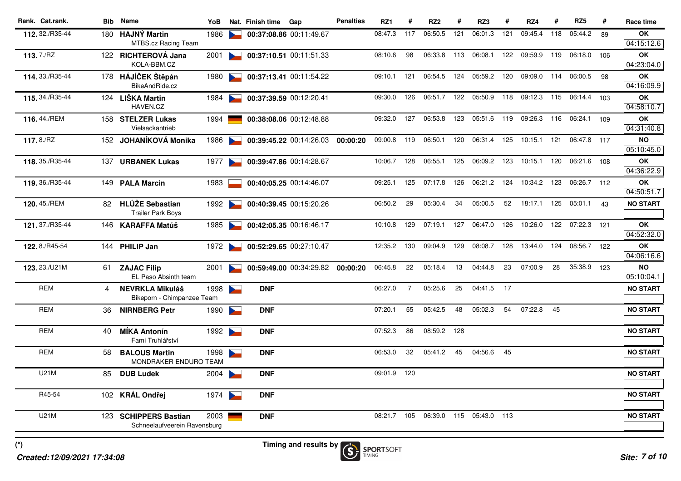| Rank. Cat.rank. |     | <b>Bib</b> Name                                | YoB  |                                   | Nat. Finish time | Gap                     | <b>Penalties</b> | RZ1     | #              | RZ <sub>2</sub> | #   | RZ3         | #   | RZ4                                 | #   | RZ <sub>5</sub> | #   | Race time               |
|-----------------|-----|------------------------------------------------|------|-----------------------------------|------------------|-------------------------|------------------|---------|----------------|-----------------|-----|-------------|-----|-------------------------------------|-----|-----------------|-----|-------------------------|
| 112, 32./R35-44 |     | 180 HAJNÝ Martin<br><b>MTBS.cz Racing Team</b> | 1986 |                                   |                  | 00:37:08.86 00:11:49.67 |                  | 08:47.3 | 117            | 06:50.5         | 121 | 06:01.3     | 121 | 09:45.4                             | 118 | 05:44.2         | 89  | OK<br>04:15:12.6        |
| 113.7./RZ       |     | 122 RICHTEROVÁ Jana                            | 2001 |                                   |                  | 00:37:10.51 00:11:51.33 |                  | 08:10.6 | 98             | 06:33.8         | 113 | 06:08.1     | 122 | 09:59.9                             | 119 | 06:18.0         | 106 | <b>OK</b>               |
|                 |     | KOLA-BBM.CZ                                    |      |                                   |                  |                         |                  |         |                |                 |     |             |     |                                     |     |                 |     | 04:23:04.0              |
| 114.33./R35-44  |     | 178 HÁJÍČEK Štěpán                             | 1980 |                                   |                  | 00:37:13.41 00:11:54.22 |                  | 09:10.1 | 121            | 06:54.5         | 124 | 05:59.2     | 120 | 09:09.0                             | 114 | 06:00.5         | 98  | OK                      |
|                 |     | BikeAndRide.cz                                 |      |                                   |                  |                         |                  |         |                |                 |     |             |     |                                     |     |                 |     | 04:16:09.9              |
| 115.34./R35-44  |     | 124 LIŠKA Martin<br>HAVEN.CZ                   | 1984 |                                   |                  | 00:37:39.59 00:12:20.41 |                  | 09:30.0 | 126            | 06:51.7 122     |     |             |     | 05:50.9 118 09:12.3 115 06:14.4 103 |     |                 |     | OK<br>04:58:10.7        |
| 116.44./REM     |     | 158 STELZER Lukas                              | 1994 |                                   |                  | 00:38:08.06 00:12:48.88 |                  | 09:32.0 | 127            | 06:53.8         | 123 | 05:51.6     | 119 | 09:26.3                             | 116 | 06:24.1         | 109 | OK                      |
|                 |     | Vielsackantrieb                                |      |                                   |                  |                         |                  |         |                |                 |     |             |     |                                     |     |                 |     | 04:31:40.8              |
| 117.8./RZ       |     | 152 JOHANÍKOVÁ Monika                          | 1986 |                                   |                  | 00:39:45.22 00:14:26.03 | 00:00:20         | 09:00.8 | 119            | 06:50.1         | 120 | 06:31.4     | 125 | 10:15.1                             | 121 | 06:47.8 117     |     | <b>NO</b><br>05:10:45.0 |
| 118.35./R35-44  |     | 137 URBANEK Lukas                              | 1977 |                                   |                  | 00:39:47.86 00:14:28.67 |                  | 10:06.7 | 128            | 06:55.1         | 125 | 06:09.2     | 123 | 10:15.1                             | 120 | 06:21.6 108     |     | OK                      |
|                 |     |                                                |      |                                   |                  |                         |                  |         |                |                 |     |             |     |                                     |     |                 |     | 04:36:22.9              |
| 119.36./R35-44  |     | 149 PALA Marcin                                | 1983 |                                   |                  | 00:40:05.25 00:14:46.07 |                  | 09:25.1 | 125            | 07:17.8         | 126 |             |     | 06:21.2 124 10:34.2                 | 123 | 06:26.7 112     |     | OK                      |
|                 |     |                                                |      |                                   |                  |                         |                  |         |                |                 |     |             |     |                                     |     |                 |     | 04:50:51.7              |
| 120.45./REM     |     | 82 HLŮŽE Sebastian<br><b>Trailer Park Boys</b> | 1992 |                                   |                  | 00:40:39.45 00:15:20.26 |                  | 06:50.2 | 29             | 05:30.4         | 34  | 05:00.5     | 52  | 18:17.1                             | 125 | 05:01.1         | 43  | <b>NO START</b>         |
| 121.37./R35-44  |     | 146 KARAFFA Matúš                              | 1985 | <b>Participation</b>              |                  | 00:42:05.35 00:16:46.17 |                  | 10:10.8 | 129            | 07:19.1         | 127 | 06:47.0     | 126 | 10:26.0                             | 122 | 07:22.3         | 121 | OK                      |
|                 |     |                                                |      |                                   |                  |                         |                  |         |                |                 |     |             |     |                                     |     |                 |     | 04:52:32.0              |
| 122.8./R45-54   |     | 144 PHILIP Jan                                 | 1972 |                                   |                  | 00:52:29.65 00:27:10.47 |                  | 12:35.2 | 130            | 09:04.9         | 129 | 08:08.7     | 128 | 13:44.0                             | 124 | 08:56.7 122     |     | OK                      |
|                 |     |                                                |      |                                   |                  |                         |                  |         |                |                 |     |             |     |                                     |     |                 |     | 04:06:16.6              |
| 123.23./U21M    | 61. | <b>ZAJAC Filip</b><br>EL Paso Absinth team     | 2001 | <b>Contract Contract</b>          |                  | 00:59:49.00 00:34:29.82 | 00:00:20         | 06:45.8 | 22             | 05:18.4         | 13  | 04:44.8     | 23  | 07:00.9                             | 28  | 35:38.9 123     |     | <b>NO</b><br>05:10:04.1 |
| <b>REM</b>      | 4   | <b>NEVRKLA Mikuláš</b>                         | 1998 | $\sim$                            | <b>DNF</b>       |                         |                  | 06:27.0 | $\overline{7}$ | 05:25.6         | 25  | 04:41.5     | 17  |                                     |     |                 |     | <b>NO START</b>         |
|                 |     | Bikeporn - Chimpanzee Team                     |      |                                   |                  |                         |                  |         |                |                 |     |             |     |                                     |     |                 |     |                         |
| <b>REM</b>      | 36  | <b>NIRNBERG Petr</b>                           | 1990 | $\blacktriangleright$             | <b>DNF</b>       |                         |                  | 07:20.1 | 55             | 05:42.5         | 48  | 05:02.3     | 54  | 07:22.8                             | 45  |                 |     | <b>NO START</b>         |
| REM             | 40  | <b>MIKA Antonín</b>                            | 1992 | <b>Contract Contract Contract</b> | <b>DNF</b>       |                         |                  | 07:52.3 | 86             | 08:59.2         | 128 |             |     |                                     |     |                 |     | <b>NO START</b>         |
|                 |     | Fami Truhlářství                               |      |                                   |                  |                         |                  |         |                |                 |     |             |     |                                     |     |                 |     |                         |
| <b>REM</b>      | 58  | <b>BALOUS Martin</b><br>MONDRAKER ENDURO TEAM  | 1998 |                                   | <b>DNF</b>       |                         |                  | 06:53.0 | 32             | 05:41.2         | 45  | 04:56.6     | 45  |                                     |     |                 |     | <b>NO START</b>         |
| U21M            | 85  | <b>DUB Ludek</b>                               | 2004 | $\overline{\phantom{0}}$          | <b>DNF</b>       |                         |                  | 09:01.9 | 120            |                 |     |             |     |                                     |     |                 |     | <b>NO START</b>         |
| R45-54          |     |                                                |      |                                   |                  |                         |                  |         |                |                 |     |             |     |                                     |     |                 |     | <b>NO START</b>         |
|                 |     | 102 KRÁL Ondřej                                | 1974 | <b>Participation</b>              | <b>DNF</b>       |                         |                  |         |                |                 |     |             |     |                                     |     |                 |     |                         |
| U21M            |     | 123 SCHIPPERS Bastian                          | 2003 |                                   | <b>DNF</b>       |                         |                  | 08:21.7 | 105            | 06:39.0         | 115 | 05:43.0 113 |     |                                     |     |                 |     | <b>NO START</b>         |
|                 |     | Schneelaufveerein Ravensburg                   |      |                                   |                  |                         |                  |         |                |                 |     |             |     |                                     |     |                 |     |                         |
|                 |     |                                                |      |                                   |                  |                         |                  |         |                |                 |     |             |     |                                     |     |                 |     |                         |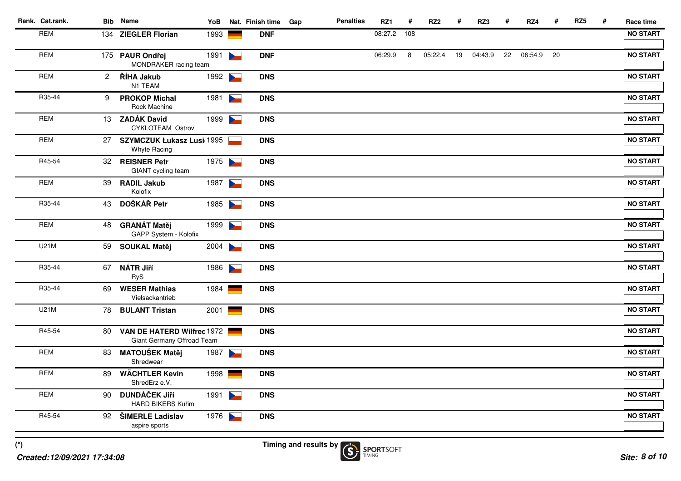| Rank. Cat.rank. |                | <b>Bib</b> Name                                          | YoB  |                       | Nat. Finish time | Gap | <b>Penalties</b> | RZ1     | #   | RZ <sub>2</sub> | #  | RZ3     | #  | RZ4     | #  | RZ <sub>5</sub> | # | Race time       |
|-----------------|----------------|----------------------------------------------------------|------|-----------------------|------------------|-----|------------------|---------|-----|-----------------|----|---------|----|---------|----|-----------------|---|-----------------|
| <b>REM</b>      |                | 134 ZIEGLER Florian                                      | 1993 |                       | <b>DNF</b>       |     |                  | 08:27.2 | 108 |                 |    |         |    |         |    |                 |   | <b>NO START</b> |
| <b>REM</b>      |                | 175 PAUR Ondřej<br>MONDRAKER racing team                 | 1991 | $\blacktriangleright$ | <b>DNF</b>       |     |                  | 06:29.9 | 8   | 05:22.4         | 19 | 04:43.9 | 22 | 06:54.9 | 20 |                 |   | <b>NO START</b> |
| <b>REM</b>      | $\overline{2}$ | ŘÍHA Jakub<br>N1 TEAM                                    | 1992 |                       | <b>DNS</b>       |     |                  |         |     |                 |    |         |    |         |    |                 |   | <b>NO START</b> |
| R35-44          | 9              | <b>PROKOP Michal</b><br>Rock Machine                     | 1981 |                       | <b>DNS</b>       |     |                  |         |     |                 |    |         |    |         |    |                 |   | <b>NO START</b> |
| <b>REM</b>      |                | 13 ZADÁK David<br>CYKLOTEAM Ostrov                       | 1999 |                       | <b>DNS</b>       |     |                  |         |     |                 |    |         |    |         |    |                 |   | <b>NO START</b> |
| <b>REM</b>      | 27             | <b>SZYMCZUK Łukasz Lusi 1995</b><br>Whyte Racing         |      |                       | <b>DNS</b>       |     |                  |         |     |                 |    |         |    |         |    |                 |   | <b>NO START</b> |
| R45-54          |                | 32 REISNER Petr<br>GIANT cycling team                    | 1975 |                       | <b>DNS</b>       |     |                  |         |     |                 |    |         |    |         |    |                 |   | <b>NO START</b> |
| <b>REM</b>      | 39             | <b>RADIL Jakub</b><br>Kolofix                            | 1987 |                       | <b>DNS</b>       |     |                  |         |     |                 |    |         |    |         |    |                 |   | <b>NO START</b> |
| R35-44          |                | 43 DOŠKÁŘ Petr                                           | 1985 |                       | <b>DNS</b>       |     |                  |         |     |                 |    |         |    |         |    |                 |   | <b>NO START</b> |
| <b>REM</b>      |                | 48 GRANÁT Matěj<br>GAPP System - Kolofix                 | 1999 |                       | <b>DNS</b>       |     |                  |         |     |                 |    |         |    |         |    |                 |   | <b>NO START</b> |
| <b>U21M</b>     |                | 59 SOUKAL Matěj                                          | 2004 |                       | <b>DNS</b>       |     |                  |         |     |                 |    |         |    |         |    |                 |   | <b>NO START</b> |
| R35-44          |                | 67 NÁTR Jiří<br><b>RyS</b>                               | 1986 |                       | <b>DNS</b>       |     |                  |         |     |                 |    |         |    |         |    |                 |   | <b>NO START</b> |
| R35-44          | 69             | <b>WESER Mathias</b><br>Vielsackantrieb                  | 1984 |                       | <b>DNS</b>       |     |                  |         |     |                 |    |         |    |         |    |                 |   | <b>NO START</b> |
| U21M            |                | 78 BULANT Tristan                                        | 2001 |                       | <b>DNS</b>       |     |                  |         |     |                 |    |         |    |         |    |                 |   | <b>NO START</b> |
| R45-54          | 80             | VAN DE HATERD Wilfred 1972<br>Giant Germany Offroad Team |      |                       | <b>DNS</b>       |     |                  |         |     |                 |    |         |    |         |    |                 |   | <b>NO START</b> |
| <b>REM</b>      | 83             | <b>MATOUŠEK Matěj</b><br>Shredwear                       | 1987 | $\blacktriangleright$ | <b>DNS</b>       |     |                  |         |     |                 |    |         |    |         |    |                 |   | <b>NO START</b> |
| <b>REM</b>      | 89             | <b>WÄCHTLER Kevin</b><br>ShredErz e.V.                   | 1998 |                       | <b>DNS</b>       |     |                  |         |     |                 |    |         |    |         |    |                 |   | <b>NO START</b> |
| <b>REM</b>      | 90             | <b>DUNDÁČEK Jiří</b><br><b>HARD BIKERS Kuřim</b>         | 1991 |                       | <b>DNS</b>       |     |                  |         |     |                 |    |         |    |         |    |                 |   | <b>NO START</b> |
| R45-54          |                | 92 ŠIMERLE Ladislav<br>aspire sports                     | 1976 |                       | <b>DNS</b>       |     |                  |         |     |                 |    |         |    |         |    |                 |   | <b>NO START</b> |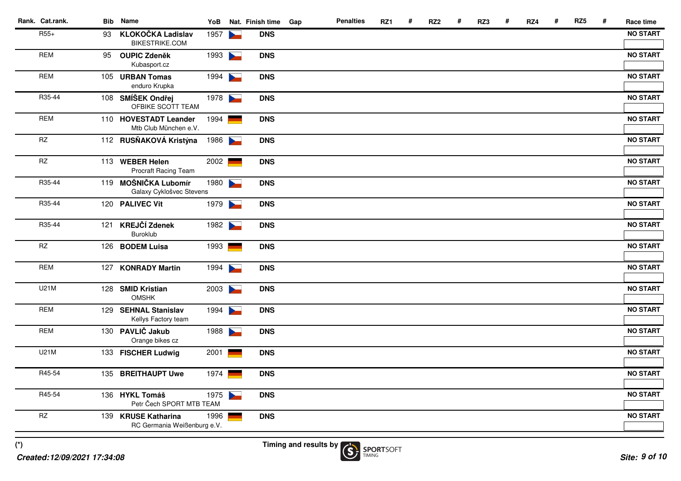| Rank. Cat.rank.        |    | <b>Bib</b> Name                                    | YoB  |                       | Nat. Finish time | Gap | <b>Penalties</b> | RZ1 | # | RZ <sub>2</sub> | # | RZ3 | # | RZ4 | # | RZ <sub>5</sub> | # | Race time       |
|------------------------|----|----------------------------------------------------|------|-----------------------|------------------|-----|------------------|-----|---|-----------------|---|-----|---|-----|---|-----------------|---|-----------------|
| $R55+$                 | 93 | <b>KLOKOČKA Ladislav</b><br><b>BIKESTRIKE.COM</b>  | 1957 |                       | <b>DNS</b>       |     |                  |     |   |                 |   |     |   |     |   |                 |   | <b>NO START</b> |
| <b>REM</b>             | 95 | <b>OUPIC Zdeněk</b><br>Kubasport.cz                | 1993 | $\blacktriangleright$ | <b>DNS</b>       |     |                  |     |   |                 |   |     |   |     |   |                 |   | <b>NO START</b> |
| <b>REM</b>             |    | 105 URBAN Tomas<br>enduro Krupka                   | 1994 |                       | <b>DNS</b>       |     |                  |     |   |                 |   |     |   |     |   |                 |   | <b>NO START</b> |
| R35-44                 |    | 108 SMÍŠEK Ondřej<br>OFBIKE SCOTT TEAM             | 1978 |                       | <b>DNS</b>       |     |                  |     |   |                 |   |     |   |     |   |                 |   | <b>NO START</b> |
| <b>REM</b>             |    | 110 HOVESTADT Leander<br>Mtb Club München e.V.     | 1994 |                       | <b>DNS</b>       |     |                  |     |   |                 |   |     |   |     |   |                 |   | <b>NO START</b> |
| $\mathsf{R}\mathsf{Z}$ |    | 112 RUSŇAKOVÁ Kristýna                             | 1986 |                       | <b>DNS</b>       |     |                  |     |   |                 |   |     |   |     |   |                 |   | <b>NO START</b> |
| RZ                     |    | 113 WEBER Helen<br>Procraft Racing Team            | 2002 |                       | <b>DNS</b>       |     |                  |     |   |                 |   |     |   |     |   |                 |   | <b>NO START</b> |
| R35-44                 |    | 119 MOŠNIČKA Lubomír<br>Galaxy Cyklošvec Stevens   | 1980 |                       | <b>DNS</b>       |     |                  |     |   |                 |   |     |   |     |   |                 |   | <b>NO START</b> |
| R35-44                 |    | 120 PALIVEC Vit                                    | 1979 |                       | <b>DNS</b>       |     |                  |     |   |                 |   |     |   |     |   |                 |   | <b>NO START</b> |
| R35-44                 |    | 121 KREJČÍ Zdenek<br>Buroklub                      | 1982 |                       | <b>DNS</b>       |     |                  |     |   |                 |   |     |   |     |   |                 |   | <b>NO START</b> |
| <b>RZ</b>              |    | 126 BODEM Luisa                                    | 1993 |                       | <b>DNS</b>       |     |                  |     |   |                 |   |     |   |     |   |                 |   | <b>NO START</b> |
| <b>REM</b>             |    | 127 KONRADY Martin                                 | 1994 |                       | <b>DNS</b>       |     |                  |     |   |                 |   |     |   |     |   |                 |   | <b>NO START</b> |
| <b>U21M</b>            |    | 128 SMID Kristian<br><b>OMSHK</b>                  | 2003 |                       | <b>DNS</b>       |     |                  |     |   |                 |   |     |   |     |   |                 |   | <b>NO START</b> |
| <b>REM</b>             |    | 129 SEHNAL Stanislav<br>Kellys Factory team        | 1994 |                       | <b>DNS</b>       |     |                  |     |   |                 |   |     |   |     |   |                 |   | <b>NO START</b> |
| <b>REM</b>             |    | 130 PAVLIČ Jakub<br>Orange bikes cz                | 1988 |                       | <b>DNS</b>       |     |                  |     |   |                 |   |     |   |     |   |                 |   | <b>NO START</b> |
| <b>U21M</b>            |    | 133 FISCHER Ludwig                                 | 2001 |                       | <b>DNS</b>       |     |                  |     |   |                 |   |     |   |     |   |                 |   | <b>NO START</b> |
| R45-54                 |    | 135 BREITHAUPT Uwe                                 | 1974 |                       | <b>DNS</b>       |     |                  |     |   |                 |   |     |   |     |   |                 |   | <b>NO START</b> |
| R45-54                 |    | 136 HYKL Tomáš<br>Petr Čech SPORT MTB TEAM         | 1975 |                       | <b>DNS</b>       |     |                  |     |   |                 |   |     |   |     |   |                 |   | <b>NO START</b> |
| $\mathsf{R}\mathsf{Z}$ |    | 139 KRUSE Katharina<br>RC Germania Weißenburg e.V. | 1996 |                       | <b>DNS</b>       |     |                  |     |   |                 |   |     |   |     |   |                 |   | <b>NO START</b> |